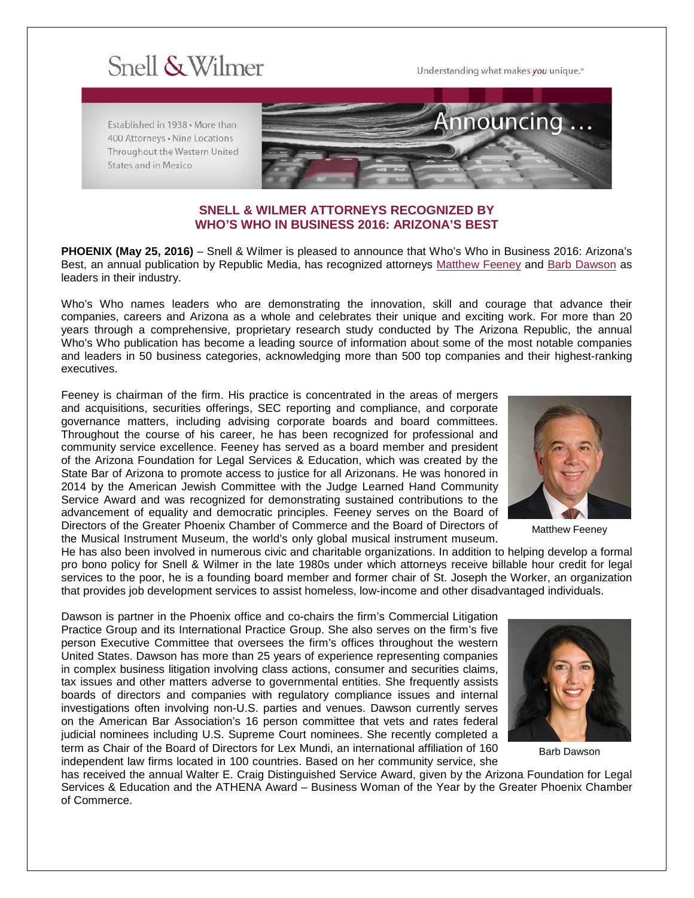## Snell & Wilmer

Understanding what makes you unique.<sup>®</sup>

Established in 1938 . More than 400 Attorneys . Nine Locations Throughout the Western United States and in Mexico



## **SNELL & WILMER ATTORNEYS RECOGNIZED BY WHO'S WHO IN BUSINESS 2016: ARIZONA'S BEST**

**PHOENIX (May 25, 2016)** – Snell & Wilmer is pleased to announce that Who's Who in Business 2016: Arizona's Best, an annual publication by Republic Media, has recognized attorneys [Matthew Feeney](https://www.swlaw.com/people/matt_feeney) and [Barb Dawson](https://www.swlaw.com/people/barbara_dawson) as leaders in their industry.

Who's Who names leaders who are demonstrating the innovation, skill and courage that advance their companies, careers and Arizona as a whole and celebrates their unique and exciting work. For more than 20 years through a comprehensive, proprietary research study conducted by The Arizona Republic, the annual Who's Who publication has become a leading source of information about some of the most notable companies and leaders in 50 business categories, acknowledging more than 500 top companies and their highest-ranking executives.

Feeney is chairman of the firm. His practice is concentrated in the areas of mergers and acquisitions, securities offerings, SEC reporting and compliance, and corporate governance matters, including advising corporate boards and board committees. Throughout the course of his career, he has been recognized for professional and community service excellence. Feeney has served as a board member and president of the Arizona Foundation for Legal Services & Education, which was created by the State Bar of Arizona to promote access to justice for all Arizonans. He was honored in 2014 by the American Jewish Committee with the Judge Learned Hand Community Service Award and was recognized for demonstrating sustained contributions to the advancement of equality and democratic principles. Feeney serves on the Board of Directors of the Greater Phoenix Chamber of Commerce and the Board of Directors of the Musical Instrument Museum, the world's only global musical instrument museum.



Matthew Feeney

He has also been involved in numerous civic and charitable organizations. In addition to helping develop a formal pro bono policy for Snell & Wilmer in the late 1980s under which attorneys receive billable hour credit for legal services to the poor, he is a founding board member and former chair of St. Joseph the Worker, an organization that provides job development services to assist homeless, low-income and other disadvantaged individuals.

Dawson is partner in the Phoenix office and co-chairs the firm's Commercial Litigation Practice Group and its International Practice Group. She also serves on the firm's five person Executive Committee that oversees the firm's offices throughout the western United States. Dawson has more than 25 years of experience representing companies in complex business litigation involving class actions, consumer and securities claims, tax issues and other matters adverse to governmental entities. She frequently assists boards of directors and companies with regulatory compliance issues and internal investigations often involving non-U.S. parties and venues. Dawson currently serves on the American Bar Association's 16 person committee that vets and rates federal judicial nominees including U.S. Supreme Court nominees. She recently completed a term as Chair of the Board of Directors for Lex Mundi, an international affiliation of 160 independent law firms located in 100 countries. Based on her community service, she



Barb Dawson

has received the annual Walter E. Craig Distinguished Service Award, given by the Arizona Foundation for Legal Services & Education and the ATHENA Award – Business Woman of the Year by the Greater Phoenix Chamber of Commerce.